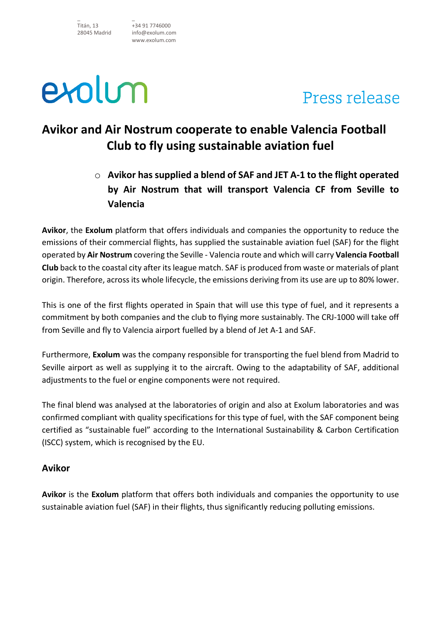Titán, 13 28045 Madrid \_ +34 91 7746000 info@exolum.com www.exolum.com



\_

## Press release

### **Avikor and Air Nostrum cooperate to enable Valencia Football Club to fly using sustainable aviation fuel**

o **Avikor has supplied a blend of SAF and JET A-1 to the flight operated by Air Nostrum that will transport Valencia CF from Seville to Valencia** 

**Avikor**, the **Exolum** platform that offers individuals and companies the opportunity to reduce the emissions of their commercial flights, has supplied the sustainable aviation fuel (SAF) for the flight operated by **Air Nostrum** covering the Seville - Valencia route and which will carry **Valencia Football Club** back to the coastal city after its league match. SAF is produced from waste or materials of plant origin. Therefore, across its whole lifecycle, the emissions deriving from its use are up to 80% lower.

This is one of the first flights operated in Spain that will use this type of fuel, and it represents a commitment by both companies and the club to flying more sustainably. The CRJ-1000 will take off from Seville and fly to Valencia airport fuelled by a blend of Jet A-1 and SAF.

Furthermore, **Exolum** was the company responsible for transporting the fuel blend from Madrid to Seville airport as well as supplying it to the aircraft. Owing to the adaptability of SAF, additional adjustments to the fuel or engine components were not required.

The final blend was analysed at the laboratories of origin and also at Exolum laboratories and was confirmed compliant with quality specifications for this type of fuel, with the SAF component being certified as "sustainable fuel" according to the International Sustainability & Carbon Certification (ISCC) system, which is recognised by the EU.

### **Avikor**

**Avikor** is the **Exolum** platform that offers both individuals and companies the opportunity to use sustainable aviation fuel (SAF) in their flights, thus significantly reducing polluting emissions.